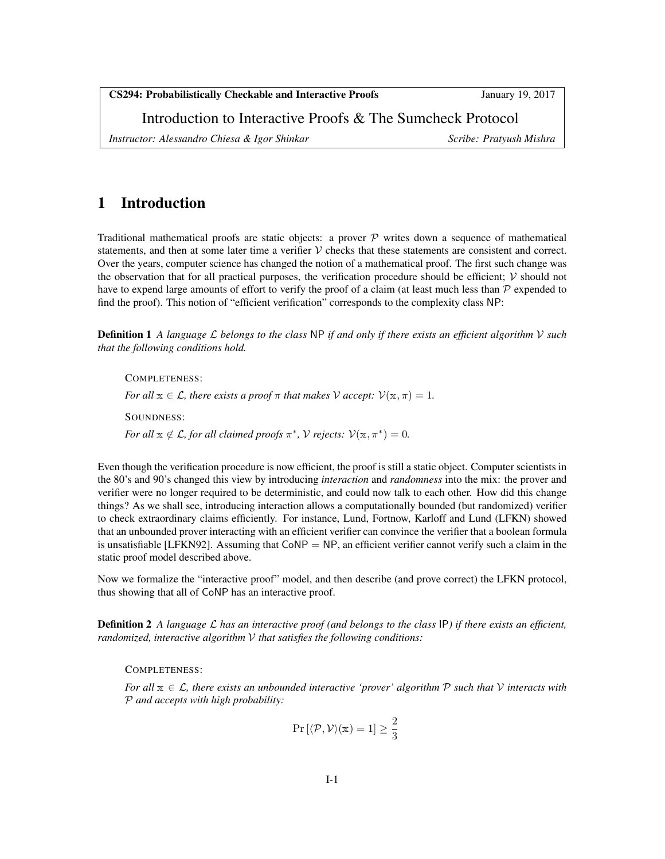CS294: Probabilistically Checkable and Interactive Proofs January 19, 2017

Introduction to Interactive Proofs & The Sumcheck Protocol

*Instructor: Alessandro Chiesa & Igor Shinkar* Scribe: Pratyush Mishra Scribe: Pratyush Mishra

### 1 Introduction

Traditional mathematical proofs are static objects: a prover  $\mathcal P$  writes down a sequence of mathematical statements, and then at some later time a verifier  $V$  checks that these statements are consistent and correct. Over the years, computer science has changed the notion of a mathematical proof. The first such change was the observation that for all practical purposes, the verification procedure should be efficient;  $\mathcal V$  should not have to expend large amounts of effort to verify the proof of a claim (at least much less than  $\mathcal P$  expended to find the proof). This notion of "efficient verification" corresponds to the complexity class NP:

Definition 1 *A language* L *belongs to the class* NP *if and only if there exists an efficient algorithm* V *such that the following conditions hold.*

COMPLETENESS: *For all*  $x \in \mathcal{L}$ *, there exists a proof*  $\pi$  *that makes*  $\mathcal{V}$  *accept:*  $\mathcal{V}(\mathbf{x}, \pi) = 1$ *.* SOUNDNESS: *For all*  $\mathbf{x} \notin \mathcal{L}$ *, for all claimed proofs*  $\pi^*$ *, V rejects:*  $\mathcal{V}(\mathbf{x}, \pi^*) = 0$ *.* 

Even though the verification procedure is now efficient, the proof is still a static object. Computer scientists in the 80's and 90's changed this view by introducing *interaction* and *randomness* into the mix: the prover and verifier were no longer required to be deterministic, and could now talk to each other. How did this change things? As we shall see, introducing interaction allows a computationally bounded (but randomized) verifier to check extraordinary claims efficiently. For instance, Lund, Fortnow, Karloff and Lund (LFKN) showed that an unbounded prover interacting with an efficient verifier can convince the verifier that a boolean formula is unsatisfiable [LFKN92]. Assuming that  $CoNP = NP$ , an efficient verifier cannot verify such a claim in the static proof model described above.

Now we formalize the "interactive proof" model, and then describe (and prove correct) the LFKN protocol, thus showing that all of CoNP has an interactive proof.

Definition 2 *A language* L *has an interactive proof (and belongs to the class* IP*) if there exists an efficient, randomized, interactive algorithm* V *that satisfies the following conditions:*

COMPLETENESS:

*For all* x ∈ L*, there exists an unbounded interactive 'prover' algorithm* P *such that* V *interacts with* P *and accepts with high probability:*

$$
\Pr\left[\langle \mathcal{P}, \mathcal{V}\rangle(\mathbf{x})=1\right] \geq \frac{2}{3}
$$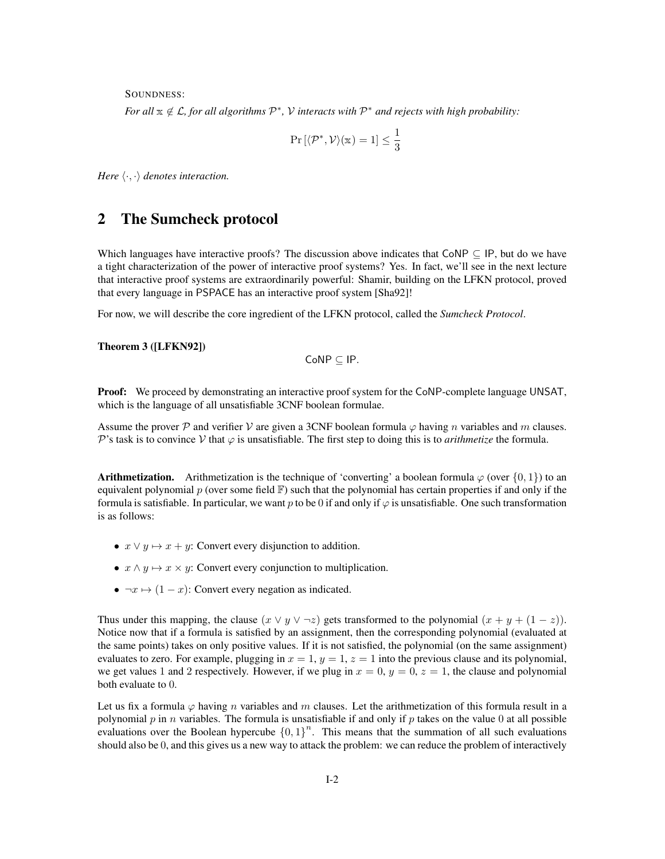SOUNDNESS:

*For all*  $x \notin L$ , for all algorithms  $P^*$ , V interacts with  $P^*$  and rejects with high probability:

$$
\Pr\left[\langle\mathcal{P}^*,\mathcal{V}\rangle(\mathbb{x})=1\right]\leq\frac{1}{3}
$$

*Here*  $\langle \cdot, \cdot \rangle$  *denotes interaction.* 

#### 2 The Sumcheck protocol

Which languages have interactive proofs? The discussion above indicates that CoNP  $\subseteq$  IP, but do we have a tight characterization of the power of interactive proof systems? Yes. In fact, we'll see in the next lecture that interactive proof systems are extraordinarily powerful: Shamir, building on the LFKN protocol, proved that every language in PSPACE has an interactive proof system [Sha92]!

For now, we will describe the core ingredient of the LFKN protocol, called the *Sumcheck Protocol*.

#### Theorem 3 ([LFKN92])

$$
\mathsf{CoNP} \subseteq \mathsf{IP}.
$$

**Proof:** We proceed by demonstrating an interactive proof system for the CoNP-complete language UNSAT, which is the language of all unsatisfiable 3CNF boolean formulae.

Assume the prover P and verifier V are given a 3CNF boolean formula  $\varphi$  having n variables and m clauses. P's task is to convince V that  $\varphi$  is unsatisfiable. The first step to doing this is to *arithmetize* the formula.

**Arithmetization.** Arithmetization is the technique of 'converting' a boolean formula  $\varphi$  (over  $\{0, 1\}$ ) to an equivalent polynomial p (over some field  $\mathbb F$ ) such that the polynomial has certain properties if and only if the formula is satisfiable. In particular, we want p to be 0 if and only if  $\varphi$  is unsatisfiable. One such transformation is as follows:

- $x \lor y \mapsto x + y$ : Convert every disjunction to addition.
- $x \wedge y \mapsto x \times y$ : Convert every conjunction to multiplication.
- $\neg x \mapsto (1-x)$ : Convert every negation as indicated.

Thus under this mapping, the clause  $(x \lor y \lor \neg z)$  gets transformed to the polynomial  $(x + y + (1 - z))$ . Notice now that if a formula is satisfied by an assignment, then the corresponding polynomial (evaluated at the same points) takes on only positive values. If it is not satisfied, the polynomial (on the same assignment) evaluates to zero. For example, plugging in  $x = 1$ ,  $y = 1$ ,  $z = 1$  into the previous clause and its polynomial, we get values 1 and 2 respectively. However, if we plug in  $x = 0$ ,  $y = 0$ ,  $z = 1$ , the clause and polynomial both evaluate to 0.

Let us fix a formula  $\varphi$  having n variables and m clauses. Let the arithmetization of this formula result in a polynomial p in n variables. The formula is unsatisfiable if and only if p takes on the value 0 at all possible evaluations over the Boolean hypercube  ${0,1}^n$ . This means that the summation of all such evaluations should also be 0, and this gives us a new way to attack the problem: we can reduce the problem of interactively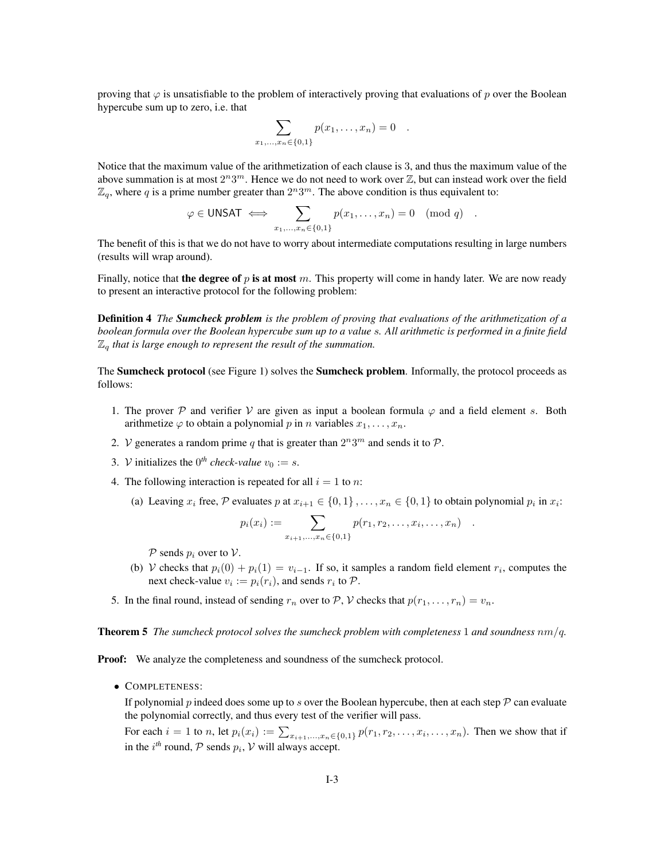proving that  $\varphi$  is unsatisfiable to the problem of interactively proving that evaluations of p over the Boolean hypercube sum up to zero, i.e. that

$$
\sum_{x_1,...,x_n \in \{0,1\}} p(x_1,...,x_n) = 0 .
$$

Notice that the maximum value of the arithmetization of each clause is 3, and thus the maximum value of the above summation is at most  $2^n 3^m$ . Hence we do not need to work over  $\mathbb Z$ , but can instead work over the field  $\mathbb{Z}_q$ , where q is a prime number greater than  $2^n 3^m$ . The above condition is thus equivalent to:

$$
\varphi \in \mathsf{UNSAT} \iff \sum_{x_1,\ldots,x_n \in \{0,1\}} p(x_1,\ldots,x_n) = 0 \pmod{q} .
$$

The benefit of this is that we do not have to worry about intermediate computations resulting in large numbers (results will wrap around).

Finally, notice that the degree of p is at most m. This property will come in handy later. We are now ready to present an interactive protocol for the following problem:

Definition 4 *The Sumcheck problem is the problem of proving that evaluations of the arithmetization of a boolean formula over the Boolean hypercube sum up to a value* s*. All arithmetic is performed in a finite field*  $\mathbb{Z}_q$  that is large enough to represent the result of the summation.

The **Sumcheck protocol** (see Figure 1) solves the **Sumcheck problem**. Informally, the protocol proceeds as follows:

- 1. The prover  $\mathcal P$  and verifier  $\mathcal V$  are given as input a boolean formula  $\varphi$  and a field element s. Both arithmetize  $\varphi$  to obtain a polynomial p in n variables  $x_1, \ldots, x_n$ .
- 2. V generates a random prime q that is greater than  $2^n 3^m$  and sends it to P.
- 3. *V* initializes the  $0^{th}$  *check-value*  $v_0 := s$ .
- 4. The following interaction is repeated for all  $i = 1$  to n:
	- (a) Leaving  $x_i$  free, P evaluates p at  $x_{i+1} \in \{0,1\}, \ldots, x_n \in \{0,1\}$  to obtain polynomial  $p_i$  in  $x_i$ :

$$
p_i(x_i) := \sum_{x_{i+1},...,x_n \in \{0,1\}} p(r_1, r_2,...,x_i,...,x_n) \quad .
$$

 $P$  sends  $p_i$  over to  $V$ .

- (b) V checks that  $p_i(0) + p_i(1) = v_{i-1}$ . If so, it samples a random field element  $r_i$ , computes the next check-value  $v_i := p_i(r_i)$ , and sends  $r_i$  to  $P$ .
- 5. In the final round, instead of sending  $r_n$  over to  $\mathcal{P}, \mathcal{V}$  checks that  $p(r_1, \ldots, r_n) = v_n$ .

Theorem 5 *The sumcheck protocol solves the sumcheck problem with completeness* 1 *and soundness* nm/q*.*

**Proof:** We analyze the completeness and soundness of the sumcheck protocol.

• COMPLETENESS:

If polynomial  $p$  indeed does some up to  $s$  over the Boolean hypercube, then at each step  $\mathcal P$  can evaluate the polynomial correctly, and thus every test of the verifier will pass.

For each  $i = 1$  to n, let  $p_i(x_i) := \sum_{x_{i+1},...,x_n \in \{0,1\}} p(r_1, r_2, ..., x_i, ..., x_n)$ . Then we show that if in the  $i^{th}$  round,  $P$  sends  $p_i$ ,  $V$  will always accept.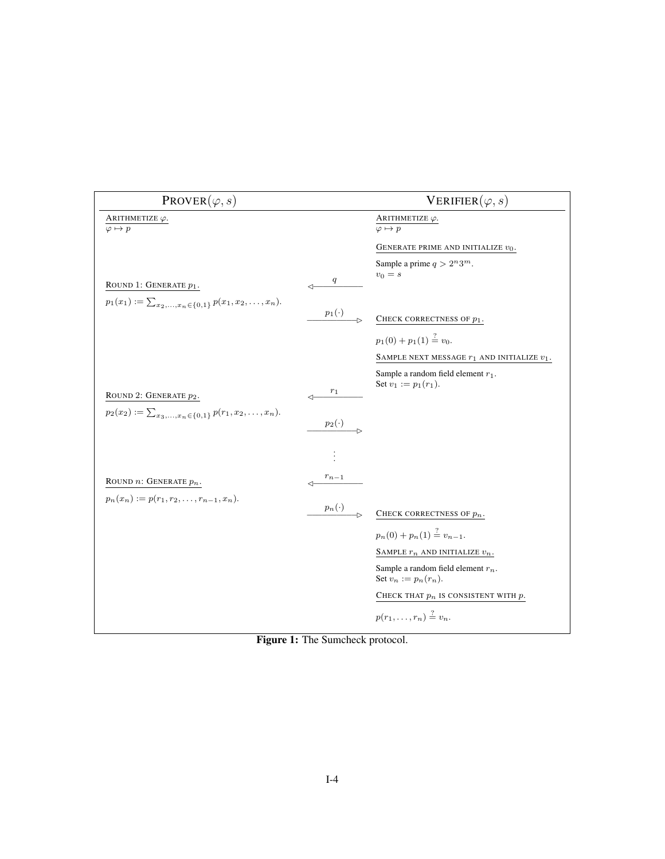| $PROVER(\varphi, s)$                                                                                |              | VERIFIER $(\varphi, s)$                                          |
|-----------------------------------------------------------------------------------------------------|--------------|------------------------------------------------------------------|
| ARITHMETIZE $\varphi$ .<br>$\varphi \mapsto p$                                                      |              | ARITHMETIZE $\varphi$ .<br>$\varphi \mapsto p$                   |
|                                                                                                     |              | GENERATE PRIME AND INITIALIZE $v_0$ .                            |
| ROUND 1: GENERATE $p_1$ .<br>$p_1(x_1) := \sum_{x_2,\ldots,x_n \in \{0,1\}} p(x_1,x_2,\ldots,x_n).$ | q<br>⊲       | Sample a prime $q > 2^n 3^m$ .<br>$v_0 = s$                      |
|                                                                                                     | $p_1(\cdot)$ | CHECK CORRECTNESS OF $p_1$ .                                     |
|                                                                                                     |              | $p_1(0) + p_1(1) \stackrel{?}{=} v_0.$                           |
|                                                                                                     |              | SAMPLE NEXT MESSAGE $r_1$ AND INITIALIZE $v_1.$                  |
| ROUND 2: GENERATE $p_2$ .<br>$p_2(x_2) := \sum_{x_3,\ldots,x_n \in \{0,1\}} p(r_1,x_2,\ldots,x_n).$ | $r_1$        | Sample a random field element $r_1$ .<br>Set $v_1 := p_1(r_1)$ . |
|                                                                                                     | $p_2(\cdot)$ |                                                                  |
|                                                                                                     |              |                                                                  |
| ROUND $n$ : GENERATE $p_n$ .<br>$p_n(x_n) := p(r_1, r_2, \ldots, r_{n-1}, x_n).$                    | $r_{n-1}$    |                                                                  |
|                                                                                                     | $p_n(\cdot)$ | CHECK CORRECTNESS OF $p_n$ .                                     |
|                                                                                                     |              | $p_n(0) + p_n(1) \stackrel{?}{=} v_{n-1}.$                       |
|                                                                                                     |              | SAMPLE $r_n$ AND INITIALIZE $v_n$ .                              |
|                                                                                                     |              | Sample a random field element $r_n$ .<br>Set $v_n := p_n(r_n)$ . |
|                                                                                                     |              | CHECK THAT $p_n$ is consistent with $p.$                         |
|                                                                                                     |              | $p(r_1,,r_n) \stackrel{?}{=} v_n.$                               |

Figure 1: The Sumcheck protocol.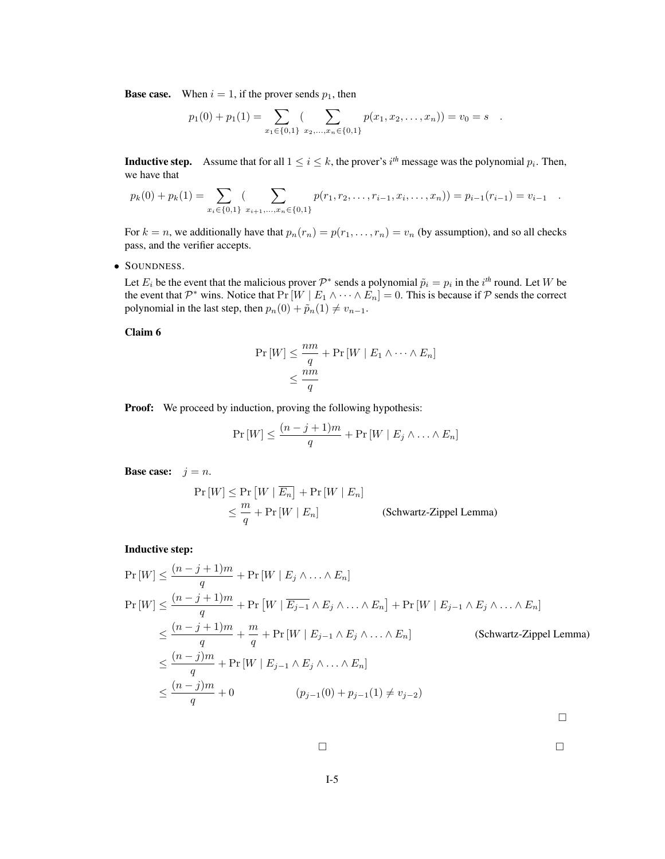**Base case.** When  $i = 1$ , if the prover sends  $p_1$ , then

$$
p_1(0) + p_1(1) = \sum_{x_1 \in \{0,1\}} \sum_{x_2,\ldots,x_n \in \{0,1\}} p(x_1,x_2,\ldots,x_n) = v_0 = s.
$$

**Inductive step.** Assume that for all  $1 \leq i \leq k$ , the prover's  $i^{th}$  message was the polynomial  $p_i$ . Then, we have that

$$
p_k(0) + p_k(1) = \sum_{x_i \in \{0,1\}} \sum_{x_{i+1},...,x_n \in \{0,1\}} p(r_1, r_2,...,r_{i-1},x_i,...,x_n) = p_{i-1}(r_{i-1}) = v_{i-1}.
$$

For  $k = n$ , we additionally have that  $p_n(r_n) = p(r_1, \ldots, r_n) = v_n$  (by assumption), and so all checks pass, and the verifier accepts.

• SOUNDNESS.

Let  $E_i$  be the event that the malicious prover  $\mathcal{P}^*$  sends a polynomial  $\tilde{p}_i = p_i$  in the  $i^{th}$  round. Let W be the event that  $\mathcal{P}^*$  wins. Notice that  $Pr[W \mid E_1 \land \cdots \land E_n] = 0$ . This is because if  $\mathcal P$  sends the correct polynomial in the last step, then  $p_n(0) + \tilde{p}_n(1) \neq v_{n-1}$ .

Claim 6

$$
\Pr[W] \le \frac{nm}{q} + \Pr[W \mid E_1 \land \dots \land E_n]
$$
  
\$\le \frac{nm}{q}

**Proof:** We proceed by induction, proving the following hypothesis:

$$
\Pr[W] \le \frac{(n-j+1)m}{q} + \Pr[W \mid E_j \land \ldots \land E_n]
$$

**Base case:**  $j = n$ .

$$
\Pr[W] \le \Pr[W | \overline{E_n}] + \Pr[W | E_n]
$$
  
\n
$$
\le \frac{m}{q} + \Pr[W | E_n]
$$
 (Schwartz-Zippel Lemma)

Inductive step:

$$
\Pr[W] \leq \frac{(n-j+1)m}{q} + \Pr[W \mid E_j \land \dots \land E_n]
$$
\n
$$
\Pr[W] \leq \frac{(n-j+1)m}{q} + \Pr[W \mid \overline{E_{j-1}} \land E_j \land \dots \land E_n] + \Pr[W \mid E_{j-1} \land E_j \land \dots \land E_n]
$$
\n
$$
\leq \frac{(n-j+1)m}{q} + \frac{m}{q} + \Pr[W \mid E_{j-1} \land E_j \land \dots \land E_n]
$$
\n(Schwartz-Zippel Lemma)\n
$$
\leq \frac{(n-j)m}{q} + \Pr[W \mid E_{j-1} \land E_j \land \dots \land E_n]
$$
\n
$$
\leq \frac{(n-j)m}{q} + 0 \qquad (p_{j-1}(0) + p_{j-1}(1) \neq v_{j-2})
$$

 $\Box$ 

$$
\Box
$$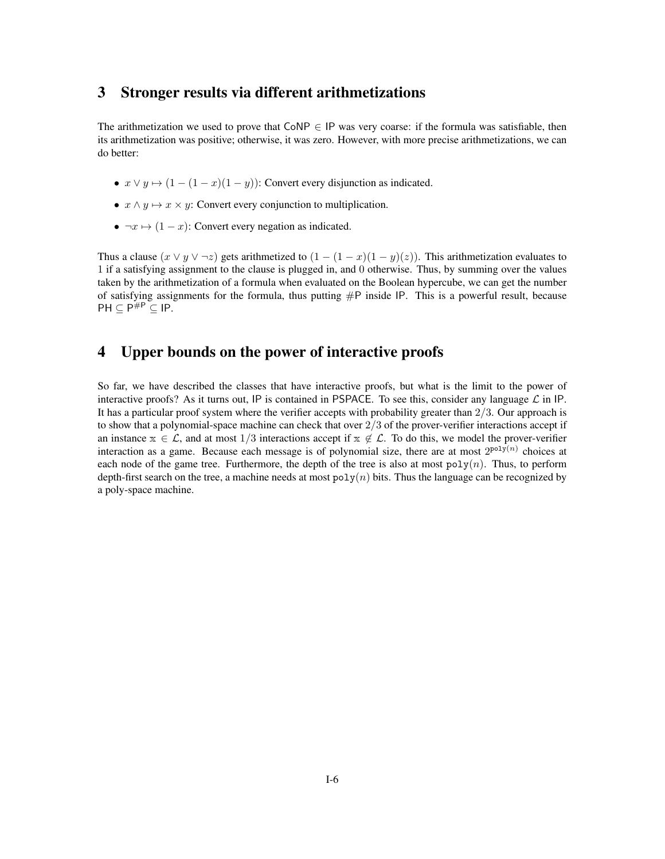# 3 Stronger results via different arithmetizations

The arithmetization we used to prove that  $CoNP \in IP$  was very coarse: if the formula was satisfiable, then its arithmetization was positive; otherwise, it was zero. However, with more precise arithmetizations, we can do better:

- $x \vee y \mapsto (1 (1 x)(1 y))$ : Convert every disjunction as indicated.
- $x \wedge y \mapsto x \times y$ : Convert every conjunction to multiplication.
- $\neg x \mapsto (1-x)$ : Convert every negation as indicated.

Thus a clause  $(x \vee y \vee \neg z)$  gets arithmetized to  $(1 - (1 - x)(1 - y)(z))$ . This arithmetization evaluates to 1 if a satisfying assignment to the clause is plugged in, and 0 otherwise. Thus, by summing over the values taken by the arithmetization of a formula when evaluated on the Boolean hypercube, we can get the number of satisfying assignments for the formula, thus putting  $\#P$  inside IP. This is a powerful result, because  $\mathsf{PH} \subseteq \mathsf{P}^{\# \mathsf{P}} \subseteq \mathsf{IP}.$ 

# 4 Upper bounds on the power of interactive proofs

So far, we have described the classes that have interactive proofs, but what is the limit to the power of interactive proofs? As it turns out, IP is contained in PSPACE. To see this, consider any language  $\mathcal L$  in IP. It has a particular proof system where the verifier accepts with probability greater than 2/3. Our approach is to show that a polynomial-space machine can check that over  $2/3$  of the prover-verifier interactions accept if an instance  $x \in \mathcal{L}$ , and at most 1/3 interactions accept if  $x \notin \mathcal{L}$ . To do this, we model the prover-verifier interaction as a game. Because each message is of polynomial size, there are at most  $2^{poly(n)}$  choices at each node of the game tree. Furthermore, the depth of the tree is also at most  $poly(n)$ . Thus, to perform depth-first search on the tree, a machine needs at most  $poly(n)$  bits. Thus the language can be recognized by a poly-space machine.